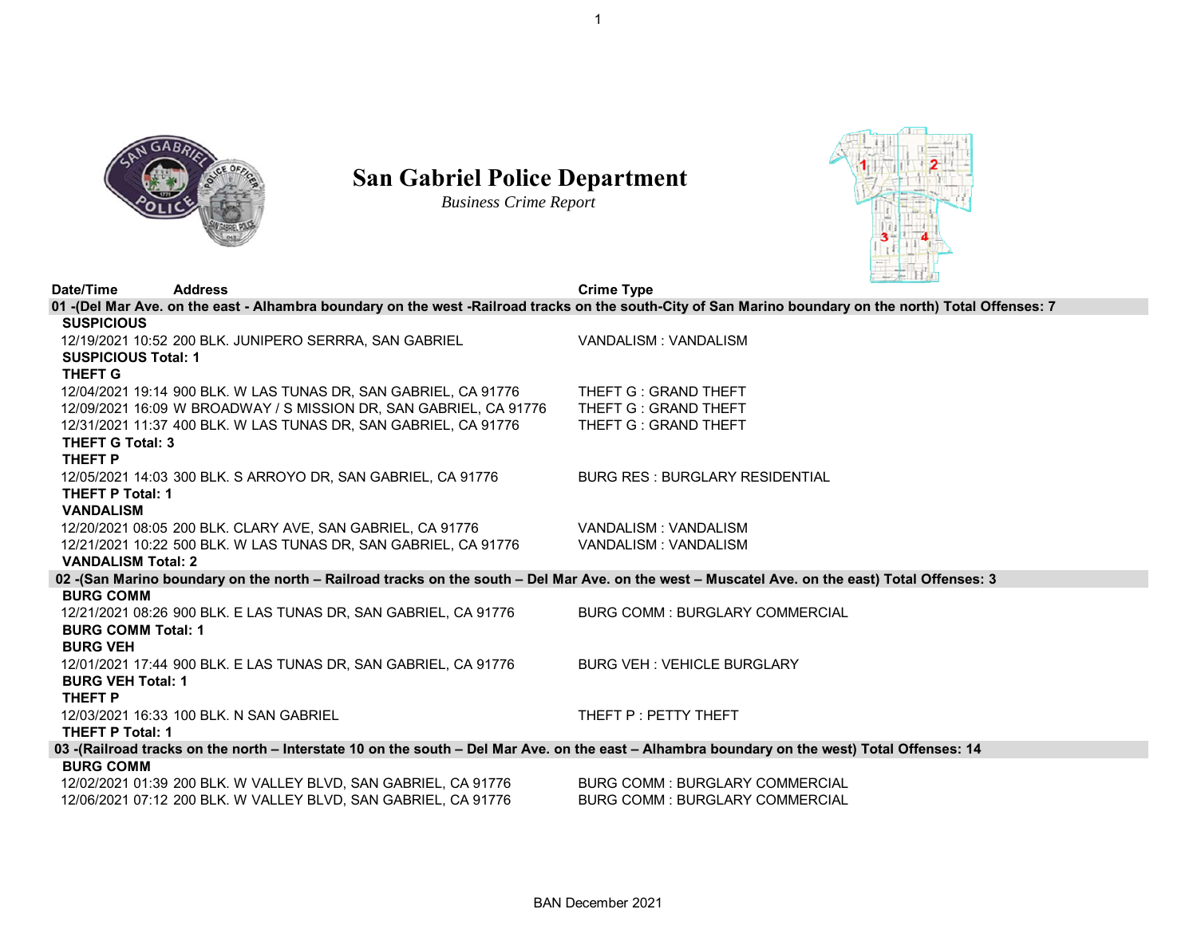

## **San Gabriel Police Department**

*Business Crime Report*



| Date/Time                                                                                                                                               | <b>Address</b>                                                    | <b>Crime Type</b>                                                                                                                              |  |  |  |  |
|---------------------------------------------------------------------------------------------------------------------------------------------------------|-------------------------------------------------------------------|------------------------------------------------------------------------------------------------------------------------------------------------|--|--|--|--|
| 01 -(Del Mar Ave. on the east - Alhambra boundary on the west -Railroad tracks on the south-City of San Marino boundary on the north) Total Offenses: 7 |                                                                   |                                                                                                                                                |  |  |  |  |
| <b>SUSPICIOUS</b>                                                                                                                                       |                                                                   |                                                                                                                                                |  |  |  |  |
|                                                                                                                                                         | 12/19/2021 10:52 200 BLK. JUNIPERO SERRRA, SAN GABRIEL            | VANDALISM: VANDALISM                                                                                                                           |  |  |  |  |
| <b>SUSPICIOUS Total: 1</b>                                                                                                                              |                                                                   |                                                                                                                                                |  |  |  |  |
| <b>THEFT G</b>                                                                                                                                          |                                                                   |                                                                                                                                                |  |  |  |  |
|                                                                                                                                                         | 12/04/2021 19:14 900 BLK. W LAS TUNAS DR, SAN GABRIEL, CA 91776   | THEFT G: GRAND THEFT                                                                                                                           |  |  |  |  |
|                                                                                                                                                         | 12/09/2021 16:09 W BROADWAY / S MISSION DR. SAN GABRIEL, CA 91776 | THEFT G : GRAND THEFT                                                                                                                          |  |  |  |  |
|                                                                                                                                                         | 12/31/2021 11:37 400 BLK. W LAS TUNAS DR, SAN GABRIEL, CA 91776   | THEFT G: GRAND THEFT                                                                                                                           |  |  |  |  |
| <b>THEFT G Total: 3</b>                                                                                                                                 |                                                                   |                                                                                                                                                |  |  |  |  |
| THEFT P                                                                                                                                                 |                                                                   |                                                                                                                                                |  |  |  |  |
|                                                                                                                                                         | 12/05/2021 14:03 300 BLK. S ARROYO DR, SAN GABRIEL, CA 91776      | <b>BURG RES: BURGLARY RESIDENTIAL</b>                                                                                                          |  |  |  |  |
| <b>THEFT P Total: 1</b>                                                                                                                                 |                                                                   |                                                                                                                                                |  |  |  |  |
| <b>VANDALISM</b>                                                                                                                                        |                                                                   |                                                                                                                                                |  |  |  |  |
|                                                                                                                                                         | 12/20/2021 08:05 200 BLK. CLARY AVE, SAN GABRIEL, CA 91776        | VANDALISM: VANDALISM                                                                                                                           |  |  |  |  |
|                                                                                                                                                         | 12/21/2021 10:22 500 BLK, W LAS TUNAS DR, SAN GABRIEL, CA 91776   | VANDALISM: VANDALISM                                                                                                                           |  |  |  |  |
| <b>VANDALISM Total: 2</b>                                                                                                                               |                                                                   |                                                                                                                                                |  |  |  |  |
|                                                                                                                                                         |                                                                   | 02 -(San Marino boundary on the north - Railroad tracks on the south - Del Mar Ave. on the west - Muscatel Ave. on the east) Total Offenses: 3 |  |  |  |  |
| <b>BURG COMM</b>                                                                                                                                        |                                                                   |                                                                                                                                                |  |  |  |  |
|                                                                                                                                                         | 12/21/2021 08:26 900 BLK. E LAS TUNAS DR, SAN GABRIEL, CA 91776   | <b>BURG COMM: BURGLARY COMMERCIAL</b>                                                                                                          |  |  |  |  |
| <b>BURG COMM Total: 1</b>                                                                                                                               |                                                                   |                                                                                                                                                |  |  |  |  |
| <b>BURG VEH</b>                                                                                                                                         |                                                                   |                                                                                                                                                |  |  |  |  |
|                                                                                                                                                         | 12/01/2021 17:44 900 BLK. E LAS TUNAS DR, SAN GABRIEL, CA 91776   | <b>BURG VEH: VEHICLE BURGLARY</b>                                                                                                              |  |  |  |  |
| <b>BURG VEH Total: 1</b>                                                                                                                                |                                                                   |                                                                                                                                                |  |  |  |  |
| <b>THEFT P</b>                                                                                                                                          |                                                                   |                                                                                                                                                |  |  |  |  |
|                                                                                                                                                         | 12/03/2021 16:33 100 BLK. N SAN GABRIEL                           | THEFT P : PETTY THEFT                                                                                                                          |  |  |  |  |
| <b>THEFT P Total: 1</b>                                                                                                                                 |                                                                   |                                                                                                                                                |  |  |  |  |
| 03 -(Railroad tracks on the north - Interstate 10 on the south - Del Mar Ave. on the east - Alhambra boundary on the west) Total Offenses: 14           |                                                                   |                                                                                                                                                |  |  |  |  |
| <b>BURG COMM</b>                                                                                                                                        |                                                                   |                                                                                                                                                |  |  |  |  |
|                                                                                                                                                         | 12/02/2021 01:39 200 BLK. W VALLEY BLVD, SAN GABRIEL, CA 91776    | <b>BURG COMM: BURGLARY COMMERCIAL</b>                                                                                                          |  |  |  |  |
|                                                                                                                                                         | 12/06/2021 07:12 200 BLK. W VALLEY BLVD, SAN GABRIEL, CA 91776    | <b>BURG COMM: BURGLARY COMMERCIAL</b>                                                                                                          |  |  |  |  |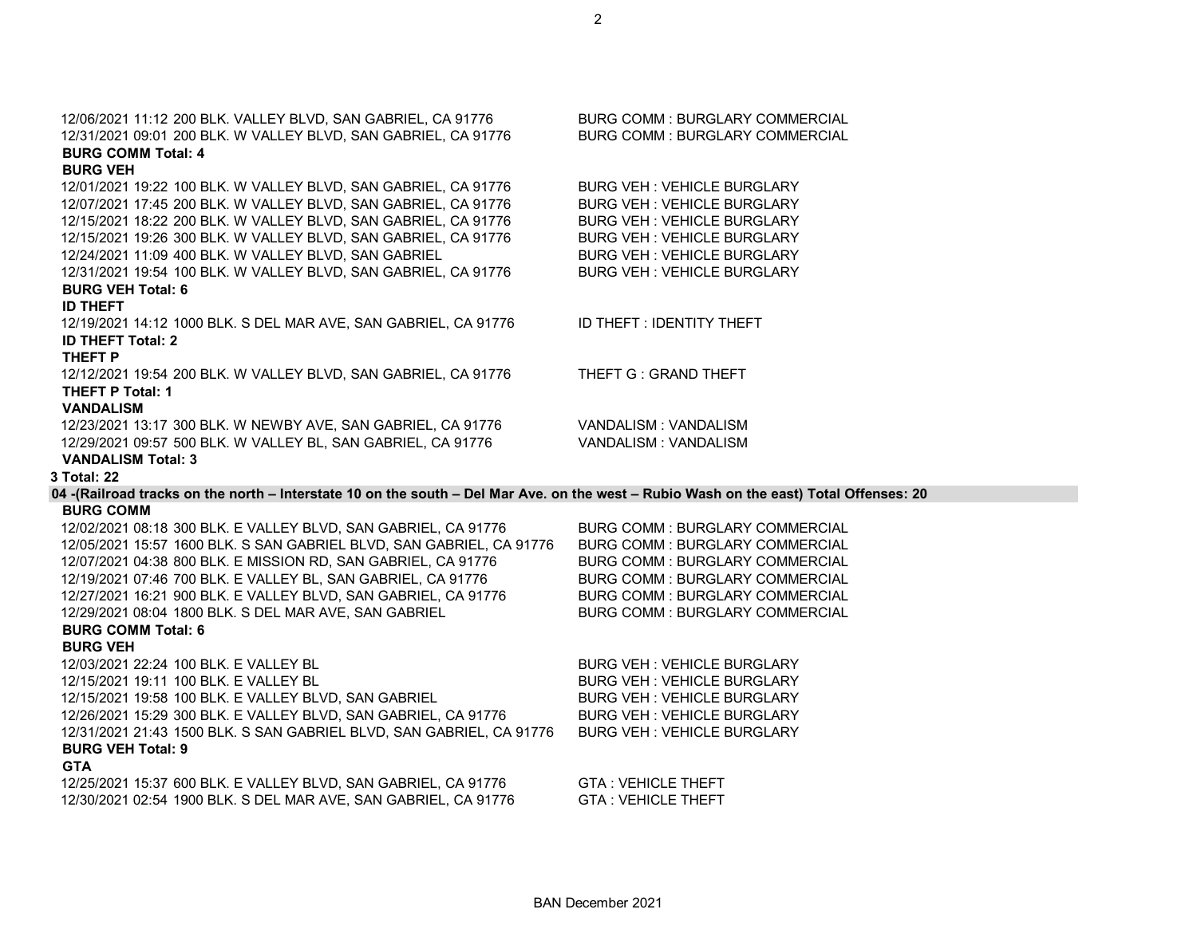|  | BAN December 2021 |  |  |
|--|-------------------|--|--|
|--|-------------------|--|--|

| 12/31/2021 09:01 200 BLK. W VALLEY BLVD, SAN GABRIEL, CA 91776                                                            | <b>BURG COMM: BURGLARY COMMERCIAL</b> |
|---------------------------------------------------------------------------------------------------------------------------|---------------------------------------|
| <b>BURG COMM Total: 4</b>                                                                                                 |                                       |
| <b>BURG VEH</b>                                                                                                           |                                       |
| 12/01/2021 19:22 100 BLK. W VALLEY BLVD, SAN GABRIEL, CA 91776                                                            | <b>BURG VEH: VEHICLE BURGLARY</b>     |
| 12/07/2021 17:45 200 BLK. W VALLEY BLVD, SAN GABRIEL, CA 91776                                                            | <b>BURG VEH: VEHICLE BURGLARY</b>     |
| 12/15/2021 18:22 200 BLK. W VALLEY BLVD, SAN GABRIEL, CA 91776                                                            | <b>BURG VEH: VEHICLE BURGLARY</b>     |
| 12/15/2021 19:26 300 BLK. W VALLEY BLVD, SAN GABRIEL, CA 91776                                                            | <b>BURG VEH: VEHICLE BURGLARY</b>     |
| 12/24/2021 11:09 400 BLK. W VALLEY BLVD, SAN GABRIEL                                                                      | <b>BURG VEH: VEHICLE BURGLARY</b>     |
| 12/31/2021 19:54 100 BLK. W VALLEY BLVD, SAN GABRIEL, CA 91776                                                            | <b>BURG VEH: VEHICLE BURGLARY</b>     |
| <b>BURG VEH Total: 6</b>                                                                                                  |                                       |
| <b>ID THEFT</b>                                                                                                           |                                       |
| 12/19/2021 14:12 1000 BLK. S DEL MAR AVE, SAN GABRIEL, CA 91776                                                           | ID THEFT : IDENTITY THEFT             |
| <b>ID THEFT Total: 2</b>                                                                                                  |                                       |
| THEFT P                                                                                                                   |                                       |
| 12/12/2021 19:54 200 BLK. W VALLEY BLVD, SAN GABRIEL, CA 91776                                                            | THEFT G : GRAND THEFT                 |
| <b>THEFT P Total: 1</b>                                                                                                   |                                       |
| <b>VANDALISM</b>                                                                                                          |                                       |
| 12/23/2021 13:17 300 BLK. W NEWBY AVE, SAN GABRIEL, CA 91776                                                              | VANDALISM: VANDALISM                  |
| 12/29/2021 09:57 500 BLK. W VALLEY BL, SAN GABRIEL, CA 91776                                                              | VANDALISM: VANDALISM                  |
| <b>VANDALISM Total: 3</b>                                                                                                 |                                       |
| 3 Total: 22                                                                                                               |                                       |
| 04 -(Railroad tracks on the north - Interstate 10 on the south - Del Mar Ave. on the west - Rubio Wash on the east) Total |                                       |
| <b>BURG COMM</b>                                                                                                          |                                       |
| 12/02/2021 08:18 300 BLK. E VALLEY BLVD, SAN GABRIEL, CA 91776                                                            | <b>BURG COMM: BURGLARY COMMERCIAL</b> |
|                                                                                                                           |                                       |

12/06/2021 11:12 200 BLK. VALLEY BLVD, SAN GABRIEL, CA 91776 BURG COMM : BURGLARY COMMERCIAL

2

## **04 -(Railroad tracks on the north – Interstate 10 on the south – Del Mar Ave. on the west – Rubio Wash on the east) Total Offenses: 20**

|                                                                      | BURG COMM : BURGLARY COMMERCIAL       |
|----------------------------------------------------------------------|---------------------------------------|
| 12/05/2021 15:57 1600 BLK. S SAN GABRIEL BLVD, SAN GABRIEL, CA 91776 | <b>BURG COMM: BURGLARY COMMERCIAL</b> |
| 12/07/2021 04:38 800 BLK. E MISSION RD, SAN GABRIEL, CA 91776        | BURG COMM : BURGLARY COMMERCIAL       |
| 12/19/2021 07:46 700 BLK. E VALLEY BL, SAN GABRIEL, CA 91776         | <b>BURG COMM: BURGLARY COMMERCIAL</b> |
| 12/27/2021 16:21 900 BLK. E VALLEY BLVD, SAN GABRIEL, CA 91776       | <b>BURG COMM: BURGLARY COMMERCIAL</b> |
| 12/29/2021 08:04 1800 BLK. S DEL MAR AVE, SAN GABRIEL                | <b>BURG COMM: BURGLARY COMMERCIAL</b> |
| <b>BURG COMM Total: 6</b>                                            |                                       |
| <b>BURG VEH</b>                                                      |                                       |
| 12/03/2021 22:24 100 BLK. E VALLEY BL                                | <b>BURG VEH: VEHICLE BURGLARY</b>     |
| 12/15/2021 19:11 100 BLK. E VALLEY BL                                | <b>BURG VEH: VEHICLE BURGLARY</b>     |
| 12/15/2021 19:58 100 BLK, E VALLEY BLVD, SAN GABRIEL                 | <b>BURG VEH: VEHICLE BURGLARY</b>     |
| 12/26/2021 15:29 300 BLK. E VALLEY BLVD, SAN GABRIEL, CA 91776       | <b>BURG VEH: VEHICLE BURGLARY</b>     |
| 12/31/2021 21:43 1500 BLK. S SAN GABRIEL BLVD, SAN GABRIEL, CA 91776 | <b>BURG VEH: VEHICLE BURGLARY</b>     |
| <b>BURG VEH Total: 9</b>                                             |                                       |
| <b>GTA</b>                                                           |                                       |
| 12/25/2021 15:37 600 BLK. E VALLEY BLVD, SAN GABRIEL, CA 91776       | <b>GTA: VEHICLE THEFT</b>             |
| 12/30/2021 02:54 1900 BLK. S DEL MAR AVE, SAN GABRIEL, CA 91776      | <b>GTA: VEHICLE THEFT</b>             |